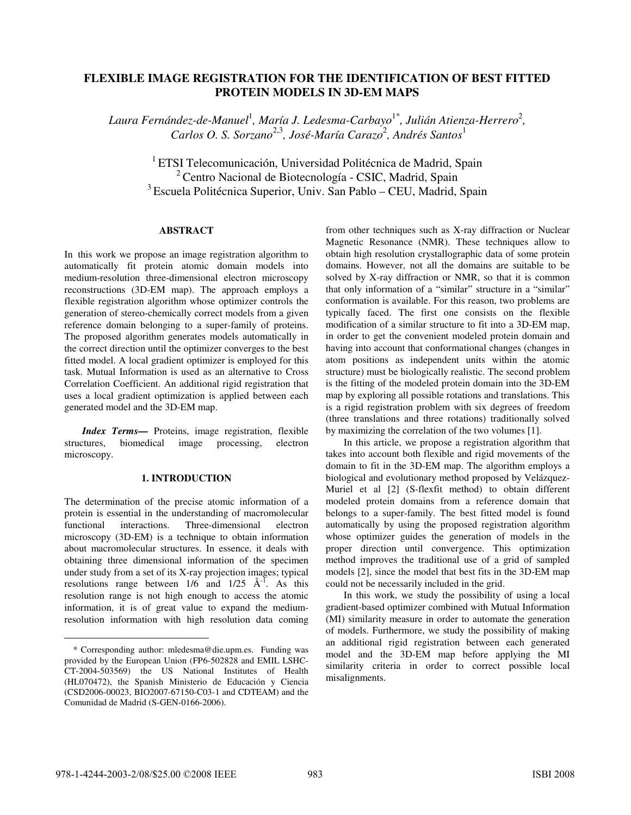# **FLEXIBLE IMAGE REGISTRATION FOR THE IDENTIFICATION OF BEST FITTED PROTEIN MODELS IN 3D-EM MAPS**

Laura Fernández-de-Manuel<sup>1</sup>, María J. Ledesma-Carbayo<sup>1\*</sup>, Julián Atienza-Herrero<sup>2</sup>, Carlos O. S. Sorzano<sup>2,3</sup>, José-María Carazo<sup>2</sup>, Andrés Santos<sup>1</sup>

<sup>1</sup> ETSI Telecomunicación, Universidad Politécnica de Madrid, Spain 2 Centro Nacional de Biotecnología - CSIC, Madrid, Spain 3 Escuela Politécnica Superior, Univ. San Pablo – CEU, Madrid, Spain

## **ABSTRACT**

In this work we propose an image registration algorithm to automatically fit protein atomic domain models into medium-resolution three-dimensional electron microscopy reconstructions (3D-EM map). The approach employs a flexible registration algorithm whose optimizer controls the generation of stereo-chemically correct models from a given reference domain belonging to a super-family of proteins. The proposed algorithm generates models automatically in the correct direction until the optimizer converges to the best fitted model. A local gradient optimizer is employed for this task. Mutual Information is used as an alternative to Cross Correlation Coefficient. An additional rigid registration that uses a local gradient optimization is applied between each generated model and the 3D-EM map.

*Index Terms—* Proteins, image registration, flexible structures, biomedical image processing, electron microscopy.

### **1. INTRODUCTION**

The determination of the precise atomic information of a protein is essential in the understanding of macromolecular functional interactions. Three-dimensional electron microscopy (3D-EM) is a technique to obtain information about macromolecular structures. In essence, it deals with obtaining three dimensional information of the specimen under study from a set of its X-ray projection images; typical resolutions range between  $1/6$  and  $1/25$   $\AA$ <sup>-1</sup>. As this resolution range is not high enough to access the atomic information, it is of great value to expand the mediumresolution information with high resolution data coming from other techniques such as X-ray diffraction or Nuclear Magnetic Resonance (NMR). These techniques allow to obtain high resolution crystallographic data of some protein domains. However, not all the domains are suitable to be solved by X-ray diffraction or NMR, so that it is common that only information of a "similar" structure in a "similar" conformation is available. For this reason, two problems are typically faced. The first one consists on the flexible modification of a similar structure to fit into a 3D-EM map, in order to get the convenient modeled protein domain and having into account that conformational changes (changes in atom positions as independent units within the atomic structure) must be biologically realistic. The second problem is the fitting of the modeled protein domain into the 3D-EM map by exploring all possible rotations and translations. This is a rigid registration problem with six degrees of freedom (three translations and three rotations) traditionally solved by maximizing the correlation of the two volumes [1].

In this article, we propose a registration algorithm that takes into account both flexible and rigid movements of the domain to fit in the 3D-EM map. The algorithm employs a biological and evolutionary method proposed by Velázquez-Muriel et al [2] (S-flexfit method) to obtain different modeled protein domains from a reference domain that belongs to a super-family. The best fitted model is found automatically by using the proposed registration algorithm whose optimizer guides the generation of models in the proper direction until convergence. This optimization method improves the traditional use of a grid of sampled models [2], since the model that best fits in the 3D-EM map could not be necessarily included in the grid.

In this work, we study the possibility of using a local gradient-based optimizer combined with Mutual Information (MI) similarity measure in order to automate the generation of models. Furthermore, we study the possibility of making an additional rigid registration between each generated model and the 3D-EM map before applying the MI similarity criteria in order to correct possible local misalignments.

-

<sup>\*</sup> Corresponding author: mledesma@die.upm.es. Funding was provided by the European Union (FP6-502828 and EMIL LSHC-CT-2004-503569) the US National Institutes of Health (HL070472), the Spanish Ministerio de Educación y Ciencia (CSD2006-00023, BIO2007-67150-C03-1 and CDTEAM) and the Comunidad de Madrid (S-GEN-0166-2006).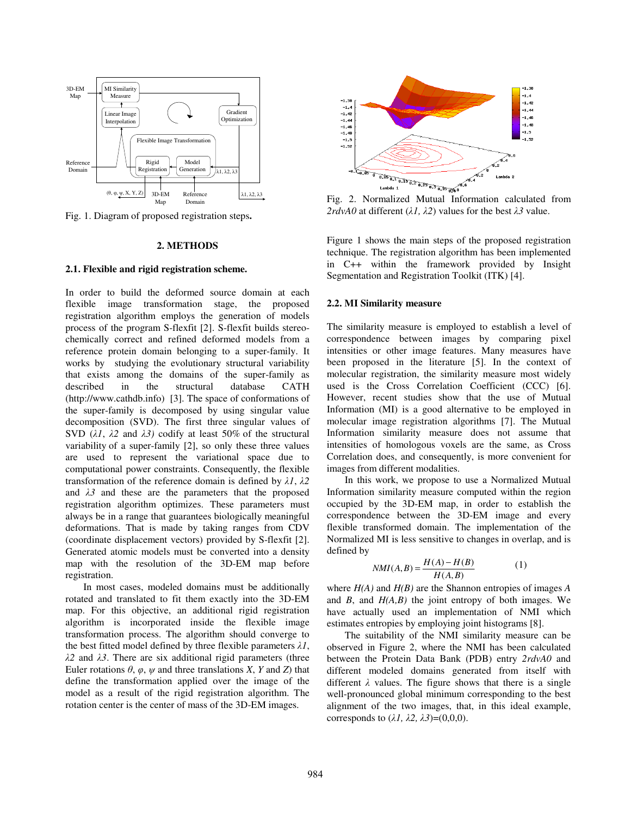

Fig. 1. Diagram of proposed registration steps**.** 

### **2. METHODS**

### **2.1. Flexible and rigid registration scheme.**

In order to build the deformed source domain at each flexible image transformation stage, the proposed registration algorithm employs the generation of models process of the program S-flexfit [2]. S-flexfit builds stereochemically correct and refined deformed models from a reference protein domain belonging to a super-family. It works by studying the evolutionary structural variability that exists among the domains of the super-family as described in the structural database CATH (http://www.cathdb.info) [3]. The space of conformations of the super-family is decomposed by using singular value decomposition (SVD). The first three singular values of SVD  $(\lambda \lambda, \lambda^2)$  and  $(\lambda \lambda)$  codify at least 50% of the structural variability of a super-family [2], so only these three values are used to represent the variational space due to computational power constraints. Consequently, the flexible transformation of the reference domain is defined by  $\lambda I$ ,  $\lambda 2$ and  $\lambda$ <sup>3</sup> and these are the parameters that the proposed registration algorithm optimizes. These parameters must always be in a range that guarantees biologically meaningful deformations. That is made by taking ranges from CDV (coordinate displacement vectors) provided by S-flexfit [2]. Generated atomic models must be converted into a density map with the resolution of the 3D-EM map before registration.

In most cases, modeled domains must be additionally rotated and translated to fit them exactly into the 3D-EM map. For this objective, an additional rigid registration algorithm is incorporated inside the flexible image transformation process. The algorithm should converge to the best fitted model defined by three flexible parameters  $\lambda I$ ,  $\lambda$ 2 and  $\lambda$ 3. There are six additional rigid parameters (three Euler rotations  $\theta$ ,  $\varphi$ ,  $\psi$  and three translations *X*, *Y* and *Z*) that define the transformation applied over the image of the model as a result of the rigid registration algorithm. The rotation center is the center of mass of the 3D-EM images.



Fig. 2. Normalized Mutual Information calculated from 2rdvA0 at different  $(\lambda \hat{I}, \lambda \hat{Z})$  values for the best  $\lambda \hat{Z}$  value.

Figure 1 shows the main steps of the proposed registration technique. The registration algorithm has been implemented in C++ within the framework provided by Insight Segmentation and Registration Toolkit (ITK) [4].

### **2.2. MI Similarity measure**

The similarity measure is employed to establish a level of correspondence between images by comparing pixel intensities or other image features. Many measures have been proposed in the literature [5]. In the context of molecular registration, the similarity measure most widely used is the Cross Correlation Coefficient (CCC) [6]. However, recent studies show that the use of Mutual Information (MI) is a good alternative to be employed in molecular image registration algorithms [7]. The Mutual Information similarity measure does not assume that intensities of homologous voxels are the same, as Cross Correlation does, and consequently, is more convenient for images from different modalities.

In this work, we propose to use a Normalized Mutual Information similarity measure computed within the region occupied by the 3D-EM map, in order to establish the correspondence between the 3D-EM image and every flexible transformed domain. The implementation of the Normalized MI is less sensitive to changes in overlap, and is defined by

$$
NMI(A,B) = \frac{H(A) - H(B)}{H(A,B)}\tag{1}
$$

where *H(A)* and *H(B)* are the Shannon entropies of images *A* and *B*, and *H(A,B)* the joint entropy of both images. We have actually used an implementation of NMI which estimates entropies by employing joint histograms [8].

The suitability of the NMI similarity measure can be observed in Figure 2, where the NMI has been calculated between the Protein Data Bank (PDB) entry *2rdvA0* and different modeled domains generated from itself with different  $\lambda$  values. The figure shows that there is a single well-pronounced global minimum corresponding to the best alignment of the two images, that, in this ideal example, corresponds to  $(\lambda \hat{I}, \lambda \hat{Z}, \lambda \hat{J}) = (0,0,0)$ .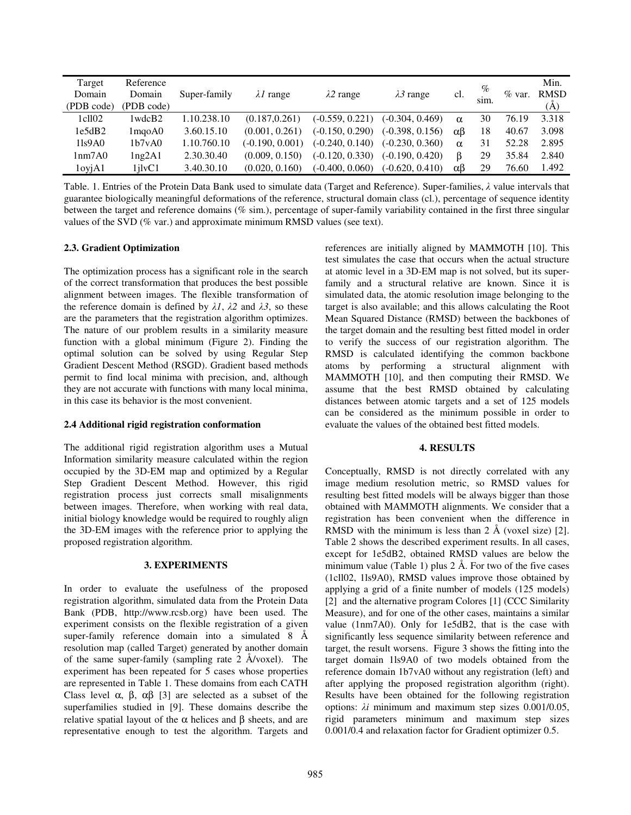| Target            | Reference    |              |                   |                   |                   |               | $\%$ |           | Min.        |
|-------------------|--------------|--------------|-------------------|-------------------|-------------------|---------------|------|-----------|-------------|
| Domain            | Domain       | Super-family | $\lambda$ range   | $\lambda$ 2 range | $\lambda$ 3 range | cl.           |      | $\%$ var. | <b>RMSD</b> |
| (PDB code)        | (PDB code)   |              |                   |                   |                   |               | sim. |           | (A)         |
| 1 cl102           | 1wdcB2       | 1.10.238.10  | (0.187.0.261)     | $(-0.559, 0.221)$ | $(-0.304, 0.469)$ | $\alpha$      | 30   | 76.19     | 3.318       |
| 1e5dB2            | $1$ mgo $A0$ | 3.60.15.10   | (0.001, 0.261)    | $(-0.150, 0.290)$ | $(-0.398, 0.156)$ | $\alpha\beta$ | 18   | 40.67     | 3.098       |
| $1\frac{1}{9}$ A0 | 1b7vA0       | 1.10.760.10  | $(-0.190, 0.001)$ | $(-0.240, 0.140)$ | $(-0.230, 0.360)$ | $\alpha$      | 31   | 52.28     | 2.895       |
| 1nm7A0            | lng2A1       | 2.30.30.40   | (0.009, 0.150)    | $(-0.120, 0.330)$ | $(-0.190, 0.420)$ | ß             | 29   | 35.84     | 2.840       |
| 1oyiA1            | $1$ ilv $C1$ | 3.40.30.10   | (0.020, 0.160)    | $(-0.400, 0.060)$ | $(-0.620, 0.410)$ | $\alpha\beta$ | 29   | 76.60     | 1.492       |

Table. 1. Entries of the Protein Data Bank used to simulate data (Target and Reference). Super-families,  $\lambda$  value intervals that guarantee biologically meaningful deformations of the reference, structural domain class (cl.), percentage of sequence identity between the target and reference domains (% sim.), percentage of super-family variability contained in the first three singular values of the SVD (% var.) and approximate minimum RMSD values (see text).

# **2.3. Gradient Optimization**

The optimization process has a significant role in the search of the correct transformation that produces the best possible alignment between images. The flexible transformation of the reference domain is defined by  $\lambda I$ ,  $\lambda 2$  and  $\lambda 3$ , so these are the parameters that the registration algorithm optimizes. The nature of our problem results in a similarity measure function with a global minimum (Figure 2). Finding the optimal solution can be solved by using Regular Step Gradient Descent Method (RSGD). Gradient based methods permit to find local minima with precision, and, although they are not accurate with functions with many local minima, in this case its behavior is the most convenient.

### **2.4 Additional rigid registration conformation**

The additional rigid registration algorithm uses a Mutual Information similarity measure calculated within the region occupied by the 3D-EM map and optimized by a Regular Step Gradient Descent Method. However, this rigid registration process just corrects small misalignments between images. Therefore, when working with real data, initial biology knowledge would be required to roughly align the 3D-EM images with the reference prior to applying the proposed registration algorithm.

### **3. EXPERIMENTS**

In order to evaluate the usefulness of the proposed registration algorithm, simulated data from the Protein Data Bank (PDB, http://www.rcsb.org) have been used. The experiment consists on the flexible registration of a given super-family reference domain into a simulated 8 Å resolution map (called Target) generated by another domain of the same super-family (sampling rate 2 Å/voxel). The experiment has been repeated for 5 cases whose properties are represented in Table 1. These domains from each CATH Class level α, β, αβ [3] are selected as a subset of the superfamilies studied in [9]. These domains describe the relative spatial layout of the α helices and β sheets, and are representative enough to test the algorithm. Targets and

references are initially aligned by MAMMOTH [10]. This test simulates the case that occurs when the actual structure at atomic level in a 3D-EM map is not solved, but its superfamily and a structural relative are known. Since it is simulated data, the atomic resolution image belonging to the target is also available; and this allows calculating the Root Mean Squared Distance (RMSD) between the backbones of the target domain and the resulting best fitted model in order to verify the success of our registration algorithm. The RMSD is calculated identifying the common backbone atoms by performing a structural alignment with MAMMOTH [10], and then computing their RMSD. We assume that the best RMSD obtained by calculating distances between atomic targets and a set of 125 models can be considered as the minimum possible in order to evaluate the values of the obtained best fitted models.

# **4. RESULTS**

Conceptually, RMSD is not directly correlated with any image medium resolution metric, so RMSD values for resulting best fitted models will be always bigger than those obtained with MAMMOTH alignments. We consider that a registration has been convenient when the difference in RMSD with the minimum is less than  $2 \text{ Å}$  (voxel size) [2]. Table 2 shows the described experiment results. In all cases, except for 1e5dB2, obtained RMSD values are below the minimum value (Table 1) plus  $2 \text{ Å}$ . For two of the five cases (1cll02, 1ls9A0), RMSD values improve those obtained by applying a grid of a finite number of models (125 models) [2] and the alternative program Colores [1] (CCC Similarity Measure), and for one of the other cases, maintains a similar value (1nm7A0). Only for 1e5dB2, that is the case with significantly less sequence similarity between reference and target, the result worsens. Figure 3 shows the fitting into the target domain 1ls9A0 of two models obtained from the reference domain 1b7vA0 without any registration (left) and after applying the proposed registration algorithm (right). Results have been obtained for the following registration options:  $\lambda i$  minimum and maximum step sizes  $0.001/0.05$ , rigid parameters minimum and maximum step sizes 0.001/0.4 and relaxation factor for Gradient optimizer 0.5.